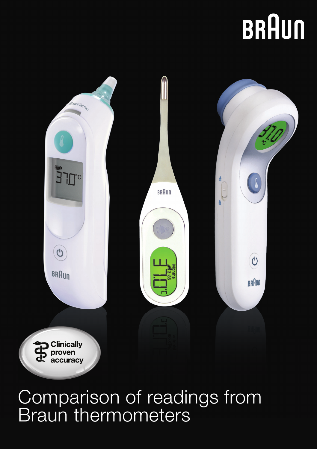# **BRAUN**



## Comparison of readings from Braun thermometers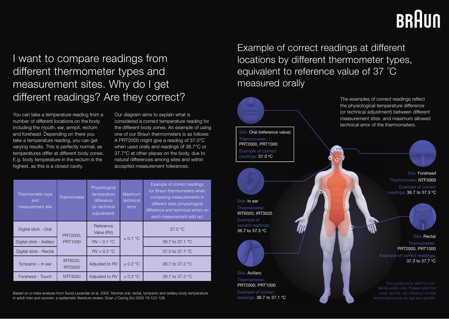## BRAUN

### I want to compare readings from different thermometer types and measurement sites. Why do I get different readings? Are they correct?

You can take a temperature reading from a number of different locations on the body including the mouth, ear, armpit, rectum and forehead. Depending on there you take a temperature reading, you can get varying results. This is perfectly normal, as temperatures differ at different body zones. E.g. body temperature in the rectum is the highest, as this is a closed cavity.

Our diagram aims to explain what is considered a correct temperature reading for the different body zones. An example of using one of our Braun thermometers is as follows: A PRT2000 might give a reading of 37.0°C when used orally and readings of 36.7°C or 37.7°C at other places on the body, due to natural differences among sites and within accepted measurement tolerances.

| Thermometer type<br>and<br>measurement site | Thermometer                | Physiological<br>temperature<br>difference<br>(or technical<br>adjustment) | Maximum<br>technical<br>error | Example of correct readings<br>for Braun thermometers when<br>comparing measurements in<br>different sites (physiological<br>difference and technical errors on<br>each measurement add up) |
|---------------------------------------------|----------------------------|----------------------------------------------------------------------------|-------------------------------|---------------------------------------------------------------------------------------------------------------------------------------------------------------------------------------------|
| Digital stick - Oral                        | PRT2000.<br>PRT1000        | Reference<br>Value (RV)                                                    | $\pm$ 0.1 °C                  | 37.0 °C                                                                                                                                                                                     |
| Digital stick - Axillary                    |                            | $RV - 0.1 °C$                                                              |                               | 36.7 to 37.1 °C                                                                                                                                                                             |
| Digital stick - Rectal                      |                            | $RV + 0.5 °C$                                                              |                               | 37.3 to 37.7 °C                                                                                                                                                                             |
| Tympanic - In ear                           | IRT6020,<br><b>IRT3020</b> | Adjusted to RV                                                             | $\pm$ 0.2 °C                  | 36.7 to 37.3 °C                                                                                                                                                                             |
| Forehead - Touch                            | NTF3000                    | Adjusted to RV                                                             | $\pm$ 0.2 °C                  | 36.7 to 37.3 °C                                                                                                                                                                             |

Based on a meta-analysis from Sund-Levander et al. 2002. Normal oral, rectal, tympanic and axillary body temperature in adult men and women: a systematic literature review. Scan J Caring Sci 2002 16:122-128.

Example of correct readings at different locations by different thermometer types, equivalent to reference value of 37 °C measured orally



Site: In ear Thermometer: IRT6020, IRT3020 Example of correct readings: 36.7 to 37.3 oC



Site: Axillary Thermometer: PRT2000, PRT1000 Example of correct readings: 36.7 to 37.1 °C The examples of correct readings reflect the physiological temperature difference (or technical adjustment) between different measurement sites and maximum allowed technical error of the thermometers.

> Site: Forehead Thermometer: NTF3000 Example of correct readings: 36.7 to 37.3 °C



Site: Rectal Thermometer: PRT2000, PRT1000 Example of correct readings: 37.3 to 37.7 °C

This guidance is valid for nonfebrile adults only. Please note that other factors can infl uence normal temperature such as age and gender.